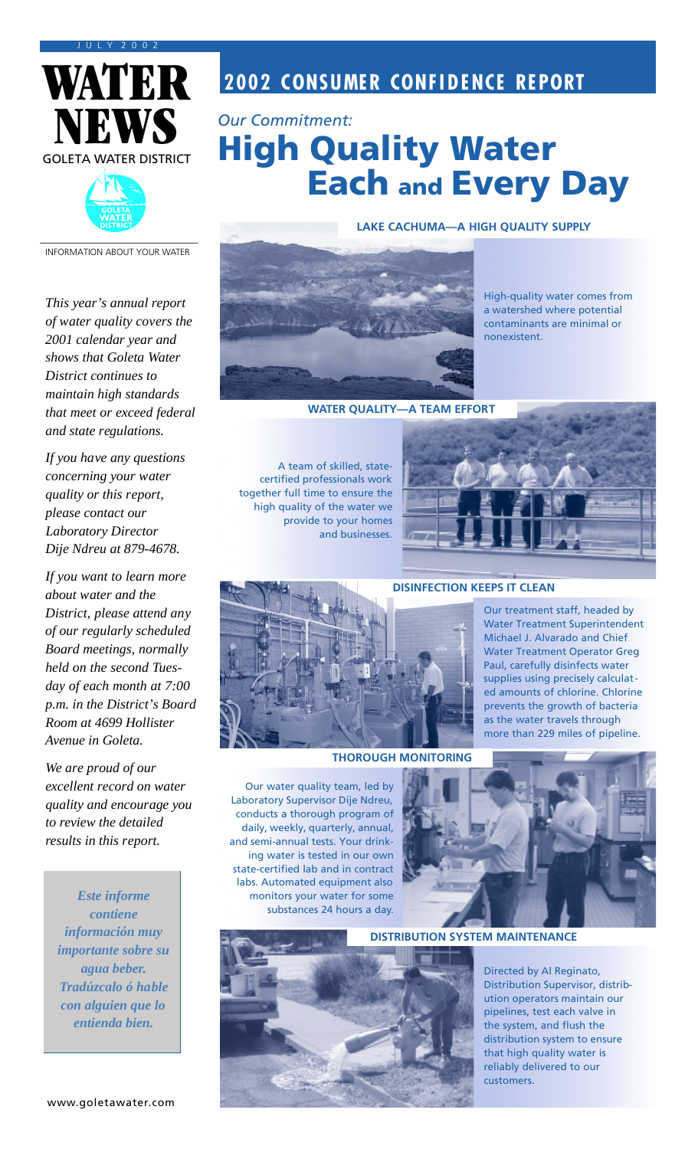



**2002 CONSUMER CONFIDENCE REPORT** 

## *Our Commitment:* High Quality Water Each and Every Day

INFORMATION ABOUT YOUR WATER

*This year's annual report of water quality covers the 2001 calendar year and shows that Goleta Water District continues to maintain high standards that meet or exceed federal and state regulations.*

*If you have any questions concerning your water quality or this report, please contact our Laboratory Director Dije Ndreu at 879-4678.*

*If you want to learn more about water and the District, please attend any of our regularly scheduled Board meetings, normally held on the second Tuesday of each month at 7:00 p.m. in the District's Board Room at 4699 Hollister Avenue in Goleta.*

*We are proud of our excellent record on water quality and encourage you to review the detailed results in this report.*

*Este informe contiene información muy importante sobre su agua beber. Tradúzcalo ó hable con alguien que lo entienda bien.*



High-quality water comes from a watershed where potential contaminants are minimal or

**WATER QUALITY—A TEAM EFFORT**

A team of skilled, statecertified professionals work together full time to ensure the high quality of the water we provide to your homes and businesses.



nonexistent.

**LAKE CACHUMA—A HIGH QUALITY SUPPLY**



#### **DISINFECTION KEEPS IT CLEAN**

Our treatment staff, headed by Water Treatment Superintendent Michael J. Alvarado and Chief Water Treatment Operator Greg Paul, carefully disinfects water supplies using precisely calculated amounts of chlorine. Chlorine prevents the growth of bacteria as the water travels through more than 229 miles of pipeline.

**THOROUGH MONITORING**

Our water quality team, led by Laboratory Supervisor Dije Ndreu, conducts a thorough program of daily, weekly, quarterly, annual, and semi-annual tests. Your drinking water is tested in our own state-certified lab and in contract labs. Automated equipment also monitors your water for some substances 24 hours a day.



**DISTRIBUTION SYSTEM MAINTENANCE**

Directed by Al Reginato, Distribution Supervisor, distribution operators maintain our pipelines, test each valve in the system, and flush the distribution system to ensure that high quality water is reliably delivered to our customers.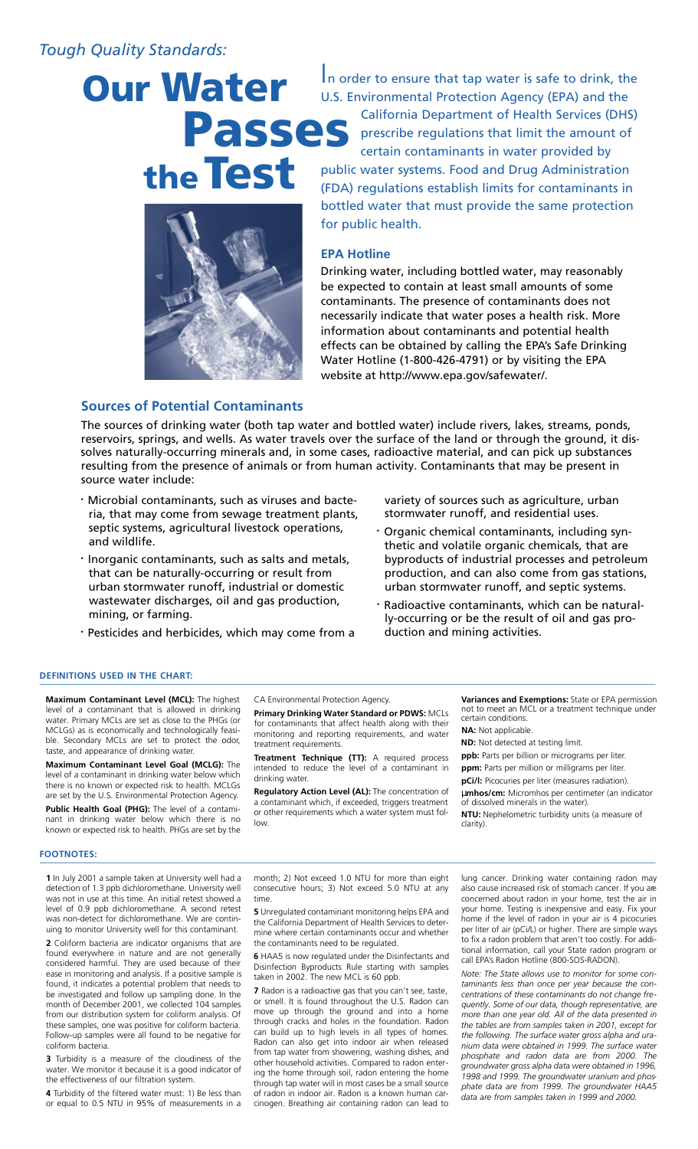## *Tough Quality Standards:*

# Passes Our Water the Test



In order to ensure that tap water is safe to drink, the U.S. Environmental Protection Agency (EPA) and the California Department of Health Services (DHS) prescribe regulations that limit the amount of certain contaminants in water provided by public water systems. Food and Drug Administration (FDA) regulations establish limits for contaminants in bottled water that must provide the same protection for public health.

#### **EPA Hotline**

Drinking water, including bottled water, may reasonably be expected to contain at least small amounts of some contaminants. The presence of contaminants does not necessarily indicate that water poses a health risk. More information about contaminants and potential health effects can be obtained by calling the EPA's Safe Drinking Water Hotline (1-800-426-4791) or by visiting the EPA website at http://www.epa.gov/safewater/.

#### **Sources of Potential Contaminants**

The sources of drinking water (both tap water and bottled water) include rivers, lakes, streams, ponds, reservoirs, springs, and wells. As water travels over the surface of the land or through the ground, it dissolves naturally-occurring minerals and, in some cases, radioactive material, and can pick up substances resulting from the presence of animals or from human activity. Contaminants that may be present in source water include:

- · Microbial contaminants, such as viruses and bacteria, that may come from sewage treatment plants, septic systems, agricultural livestock operations, and wildlife.
- · Inorganic contaminants, such as salts and metals, that can be naturally-occurring or result from urban stormwater runoff, industrial or domestic wastewater discharges, oil and gas production, mining, or farming.
- · Pesticides and herbicides, which may come from a

#### **DEFINITIONS USED IN THE CHART:**

**Maximum Contaminant Level (MCL):** The highest level of a contaminant that is allowed in drinking water. Primary MCLs are set as close to the PHGs (or MCLGs) as is economically and technologically feasible. Secondary MCLs are set to protect the odor, taste, and appearance of drinking water.

**Maximum Contaminant Level Goal (MCLG):** The level of a contaminant in drinking water below which there is no known or expected risk to health. MCLGs are set by the U.S. Environmental Protection Agency. **Public Health Goal (PHG):** The level of a contaminant in drinking water below which there is no known or expected risk to health. PHGs are set by the

#### **FOOTNOTES:**

**1** In July 2001 a sample taken at University well had a detection of 1.3 ppb dichloromethane. University well was not in use at this time. An initial retest showed a level of 0.9 ppb dichloromethane. A second retest was non-detect for dichloromethane. We are continuing to monitor University well for this contaminant.

**2** Coliform bacteria are indicator organisms that are found everywhere in nature and are not generally considered harmful. They are used because of their ease in monitoring and analysis. If a positive sample is found, it indicates a potential problem that needs to be investigated and follow up sampling done. In the month of December 2001, we collected 104 samples from our distribution system for coliform analysis. Of these samples, one was positive for coliform bacteria. Follow-up samples were all found to be negative for coliform bacteria.

**3** Turbidity is a measure of the cloudiness of the water. We monitor it because it is a good indicator of the effectiveness of our filtration system.

**4** Turbidity of the filtered water must: 1) Be less than or equal to 0.5 NTU in 95% of measurements in a

CA Environmental Protection Agency.

**Primary Drinking Water Standard or PDWS:** MCLs for contaminants that affect health along with their monitoring and reporting requirements, and water treatment requirements.

**Treatment Technique (TT):** A required process intended to reduce the level of a contaminant in drinking water.

**Regulatory Action Level (AL):** The concentration of a contaminant which, if exceeded, triggers treatment or other requirements which a water system must follow.

**Variances and Exemptions:** State or EPA permission not to meet an MCL or a treatment technique under certain conditions.

**NA:** Not applicable.

duction and mining activities.

variety of sources such as agriculture, urban stormwater runoff, and residential uses.

· Organic chemical contaminants, including synthetic and volatile organic chemicals, that are byproducts of industrial processes and petroleum production, and can also come from gas stations, urban stormwater runoff, and septic systems. Radioactive contaminants, which can be naturally-occurring or be the result of oil and gas pro-

**ND:** Not detected at testing limit.

**ppb:** Parts per billion or micrograms per liter.

**ppm:** Parts per million or milligrams per liter. **pCi/l:** Picocuries per liter (measures radiation).

µ**mhos/cm:** Micromhos per centimeter (an indicator of dissolved minerals in the water).

**NTU:** Nephelometric turbidity units (a measure of clarity).

month; 2) Not exceed 1.0 NTU for more than eight consecutive hours; 3) Not exceed 5.0 NTU at any time.

**5** Unregulated contaminant monitoring helps EPA and the California Department of Health Services to determine where certain contaminants occur and whether the contaminants need to be regulated.

**6** HAA5 is now regulated under the Disinfectants and Disinfection Byproducts Rule starting with samples taken in 2002. The new MCL is 60 ppb.

**7** Radon is a radioactive gas that you can't see, taste, or smell. It is found throughout the U.S. Radon can move up through the ground and into a home through cracks and holes in the foundation. Radon can build up to high levels in all types of homes. Radon can also get into indoor air when released from tap water from showering, washing dishes, and other household activities. Compared to radon entering the home through soil, radon entering the home through tap water will in most cases be a small source of radon in indoor air. Radon is a known human carcinogen. Breathing air containing radon can lead to

lung cancer. Drinking water containing radon may also cause increased risk of stomach cancer. If you are concerned about radon in your home, test the air in your home. Testing is inexpensive and easy. Fix your home if the level of radon in your air is 4 picocuries per liter of air (pCi/L) or higher. There are simple ways to fix a radon problem that aren't too costly. For additional information, call your State radon program or call EPA's Radon Hotline (800-SOS-RADON).

*Note: The State allows use to monitor for some contaminants less than once per year because the concentrations of these contaminants do not change frequently. Some of our data, though representative, are more than one year old. All of the data presented in the tables are from samples taken in 2001, except for the following. The surface water gross alpha and uranium data were obtained in 1999. The surface water phosphate and radon data are from 2000. The groundwater gross alpha data were obtained in 1996, 1998 and 1999. The groundwater uranium and phosphate data are from 1999. The groundwater HAA5 data are from samples taken in 1999 and 2000.*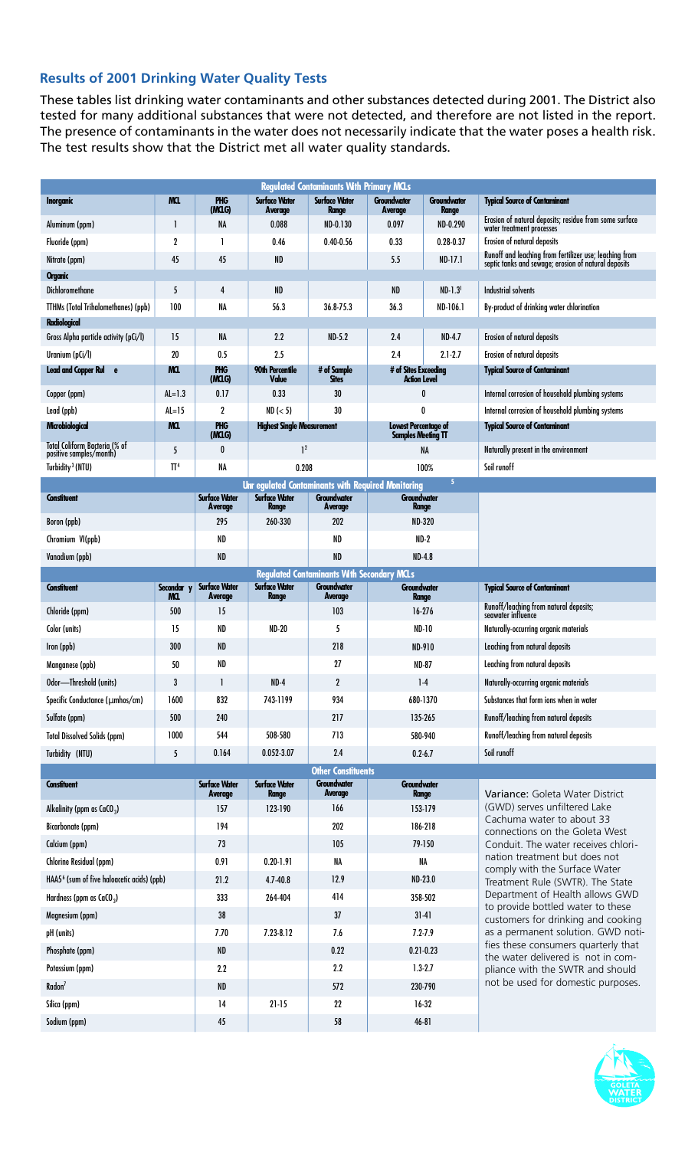### **Results of 2001 Drinking Water Quality Tests**

These tables list drinking water contaminants and other substances detected during 2001. The District also tested for many additional substances that were not detected, and therefore are not listed in the report. The presence of contaminants in the water does not necessarily indicate that the water poses a health risk. The test results show that the District met all water quality standards.

| <b>Regulated Contaminants With Primary MCLs</b>                   |                 |                                                                                                                                                |                                      |                               |                                             |                                    |                                                                                                                                                                                                                  |
|-------------------------------------------------------------------|-----------------|------------------------------------------------------------------------------------------------------------------------------------------------|--------------------------------------|-------------------------------|---------------------------------------------|------------------------------------|------------------------------------------------------------------------------------------------------------------------------------------------------------------------------------------------------------------|
| <b>Inorganic</b>                                                  | MQ.             | <b>PHG</b><br>(MCLG)                                                                                                                           | <b>Surface Water</b><br>Average      | <b>Surface Water</b><br>Range | <b>Groundwater</b><br>Average               | <b>Groundwater</b><br><b>Range</b> | <b>Typical Source of Contaminant</b>                                                                                                                                                                             |
| Aluminum (ppm)                                                    | 1               | <b>NA</b>                                                                                                                                      | 0.088                                | ND-0.130                      | 0.097                                       | ND-0.290                           | Erosion of natural deposits; residue from some surface<br>water treatment processes                                                                                                                              |
| Fluoride (ppm)                                                    | $\mathbf 2$     | 1                                                                                                                                              | 0.46                                 | $0.40 - 0.56$                 | 0.33                                        | $0.28 - 0.37$                      | Erosion of natural deposits                                                                                                                                                                                      |
| Nitrate (ppm)                                                     | 45              | 45                                                                                                                                             | ND                                   |                               | 5.5                                         | $ND-17.1$                          | Runoff and leaching from fertilizer use; leaching from<br>septic tanks and sewage; erosion of natural deposits                                                                                                   |
| <b>Organic</b>                                                    |                 |                                                                                                                                                |                                      |                               |                                             |                                    |                                                                                                                                                                                                                  |
| <b>Dichloromethane</b>                                            | 5               | 4                                                                                                                                              | ND                                   |                               | <b>ND</b>                                   | $ND-1.3$ <sup>1</sup>              | <b>Industrial solvents</b>                                                                                                                                                                                       |
| <b>TTHMs (Total Trihalomethanes) (ppb)</b><br><b>Radiological</b> | 100             | NA                                                                                                                                             | 56.3                                 | 36.8-75.3                     | 36.3                                        | ND-106.1                           | By-product of drinking water chlorination                                                                                                                                                                        |
| Gross Alpha particle activity (pCi/l)                             | 15              | NA                                                                                                                                             | 2.2                                  | $ND-5.2$                      | 2.4                                         | <b>ND-4.7</b>                      | Erosion of natural deposits                                                                                                                                                                                      |
| Uranium (pCi/l)                                                   | 20              | 0.5                                                                                                                                            | 2.5                                  |                               | 2.4                                         | $2.1 - 2.7$                        | Erosion of natural deposits                                                                                                                                                                                      |
| <b>Lead and Copper Rul</b><br>$\mathbf{e}$                        | MQ.             | <b>PHG</b>                                                                                                                                     | 90th Percentile                      | # of Sample                   | # of Sites Exceeding<br><b>Action Level</b> |                                    | <b>Typical Source of Contaminant</b>                                                                                                                                                                             |
| Copper (ppm)                                                      | $AL=1.3$        | (MCLG)<br>0.17                                                                                                                                 | Value<br>0.33                        | <b>Sites</b><br>30            | 0                                           |                                    | Internal corrosion of household plumbing systems                                                                                                                                                                 |
| Lead (ppb)                                                        | $AL=15$         | 2                                                                                                                                              | ND (< 5)                             | 30                            | 0                                           |                                    | Internal corrosion of household plumbing systems                                                                                                                                                                 |
| Microbiological                                                   | MQ.             | <b>PHG</b>                                                                                                                                     | <b>Highest Single Measurement</b>    |                               | <b>Lowest Percentage of</b>                 |                                    | <b>Typical Source of Contaminant</b>                                                                                                                                                                             |
| Total Coliform Bacteria (% of                                     |                 | (MCG)<br>0                                                                                                                                     | 1 <sup>2</sup>                       |                               | <b>Samples Meeting TT</b><br><b>NA</b>      |                                    | Naturally present in the environment                                                                                                                                                                             |
| positive samples/month)<br>Turbidity <sup>3</sup> (NTU)           | 5<br>$\Pi^4$    | <b>NA</b>                                                                                                                                      | 0.208                                |                               | 100%                                        |                                    | Soil runoff                                                                                                                                                                                                      |
|                                                                   |                 |                                                                                                                                                |                                      |                               | 5                                           |                                    |                                                                                                                                                                                                                  |
| <b>Constituent</b>                                                |                 | Unr egulated Contaminants with Required Monitoring<br><b>Surface Water</b><br><b>Surface Water</b><br><b>Groundwater</b><br><b>Groundwater</b> |                                      |                               |                                             |                                    |                                                                                                                                                                                                                  |
| Boron (ppb)                                                       |                 | Average<br>295                                                                                                                                 | <b>Range</b><br>260-330              | Average<br>202                | <b>Range</b><br><b>ND-320</b>               |                                    |                                                                                                                                                                                                                  |
| Chromium VI(ppb)                                                  |                 | ND                                                                                                                                             |                                      | ND                            | $ND-2$                                      |                                    |                                                                                                                                                                                                                  |
| Vanadium (ppb)                                                    |                 | ND                                                                                                                                             |                                      | <b>ND</b>                     | <b>ND-4.8</b>                               |                                    |                                                                                                                                                                                                                  |
| <b>Regulated Contaminants With Secondary MCLs</b>                 |                 |                                                                                                                                                |                                      |                               |                                             |                                    |                                                                                                                                                                                                                  |
| <b>Constituent</b>                                                | <b>Secondar</b> | <b>Surface Water</b>                                                                                                                           | <b>Surface Water</b>                 | Groundwater                   | <b>Groundwater</b>                          |                                    | <b>Typical Source of Contaminant</b>                                                                                                                                                                             |
| Chloride (ppm)                                                    | MCL.<br>500     | Average<br>15                                                                                                                                  | <b>Range</b>                         | Average<br>103                | <b>Range</b><br>$16 - 276$                  |                                    | Runoff/leaching from natural deposits;                                                                                                                                                                           |
| Color (units)                                                     | 15              | ND                                                                                                                                             | <b>ND-20</b>                         | 5                             | <b>ND-10</b>                                |                                    | seawater influence<br>Naturally-occurring organic materials                                                                                                                                                      |
| Iron (ppb)                                                        | 300             | ND                                                                                                                                             |                                      | 218                           | <b>ND-910</b>                               |                                    | Leaching from natural deposits                                                                                                                                                                                   |
| Manganese (ppb)                                                   | 50              | ND                                                                                                                                             |                                      | 27                            | <b>ND-87</b>                                |                                    | Leaching from natural deposits                                                                                                                                                                                   |
| Odor-Threshold (units)                                            | 3               | $\mathbf{I}$                                                                                                                                   | $ND-4$                               | $\mathbf{2}$                  | $1-4$                                       |                                    | Naturally-occurring organic materials                                                                                                                                                                            |
| Specific Conductance (µmhos/cm)                                   | 1600            | 832                                                                                                                                            | 743-1199                             | 934                           | 680-1370                                    |                                    | Substances that form ions when in water                                                                                                                                                                          |
| Sulfate (ppm)                                                     | 500             | 240                                                                                                                                            |                                      | 217                           | 135-265                                     |                                    | Runoff/leaching from natural deposits                                                                                                                                                                            |
| <b>Total Dissolved Solids (ppm)</b>                               | 1000            | 544                                                                                                                                            | 508-580                              | 713                           | 580-940                                     |                                    | Runoff/leaching from natural deposits                                                                                                                                                                            |
| Turbidity (NTU)                                                   | 5               | 0.164                                                                                                                                          | 0.052-3.07                           | 2.4                           | $0.2 - 6.7$                                 |                                    | Soil runoff                                                                                                                                                                                                      |
| <b>Other Constituents</b>                                         |                 |                                                                                                                                                |                                      |                               |                                             |                                    |                                                                                                                                                                                                                  |
| <b>Constituent</b>                                                |                 | <b>Surface Water</b><br>Average                                                                                                                | <b>Surface Water</b><br><b>Range</b> | <b>Groundwater</b><br>Average | <b>Groundwater</b>                          | <b>Range</b>                       | Variance: Goleta Water District                                                                                                                                                                                  |
| Alkalinity (ppm as $CaCO3$ )                                      |                 | 157                                                                                                                                            | 123-190                              | 166                           | 153-179                                     |                                    | (GWD) serves unfiltered Lake<br>Cachuma water to about 33<br>connections on the Goleta West                                                                                                                      |
| Bicarbonate (ppm)                                                 |                 | 194                                                                                                                                            |                                      | 202                           | 186-218                                     |                                    |                                                                                                                                                                                                                  |
| Calcium (ppm)                                                     |                 | 73                                                                                                                                             |                                      | 105                           | 79-150                                      |                                    | Conduit. The water receives chlori-                                                                                                                                                                              |
| Chlorine Residual (ppm)                                           |                 | 0.91                                                                                                                                           | $0.20 - 1.91$                        | NA                            | NA<br>ND-23.0<br>358-502<br>$31 - 41$       |                                    | nation treatment but does not<br>comply with the Surface Water<br>Treatment Rule (SWTR). The State<br>Department of Health allows GWD<br>to provide bottled water to these<br>customers for drinking and cooking |
| HAA5 <sup>6</sup> (sum of five haloacetic acids) (ppb)            |                 | 21.2                                                                                                                                           | $4.7 - 40.8$                         | 12.9                          |                                             |                                    |                                                                                                                                                                                                                  |
| Hardness (ppm as $CaCO3$ )                                        |                 | 333                                                                                                                                            | 264-404                              | 414                           |                                             |                                    |                                                                                                                                                                                                                  |
| Magnesium (ppm)                                                   |                 | 38                                                                                                                                             |                                      | 37                            |                                             |                                    |                                                                                                                                                                                                                  |
| pH (units)                                                        |                 | 7.70                                                                                                                                           | 7.23-8.12                            | 7.6                           | $7.2 - 7.9$                                 |                                    | as a permanent solution. GWD noti-                                                                                                                                                                               |
| Phosphate (ppm)                                                   |                 | ND                                                                                                                                             |                                      | 0.22                          | $0.21 - 0.23$                               |                                    | fies these consumers quarterly that<br>the water delivered is not in com-<br>pliance with the SWTR and should<br>not be used for domestic purposes.                                                              |
| Potassium (ppm)                                                   |                 | 2.2                                                                                                                                            |                                      | 2.2                           | $1.3 - 2.7$                                 |                                    |                                                                                                                                                                                                                  |
| Radon <sup>7</sup>                                                |                 | <b>ND</b>                                                                                                                                      |                                      | 572                           | 230-790                                     |                                    |                                                                                                                                                                                                                  |
| Silica (ppm)                                                      |                 | 14                                                                                                                                             | $21 - 15$                            | 22                            |                                             | $16-32$                            |                                                                                                                                                                                                                  |
| Sodium (ppm)                                                      |                 | 45                                                                                                                                             |                                      | 58                            |                                             | 46-81                              |                                                                                                                                                                                                                  |